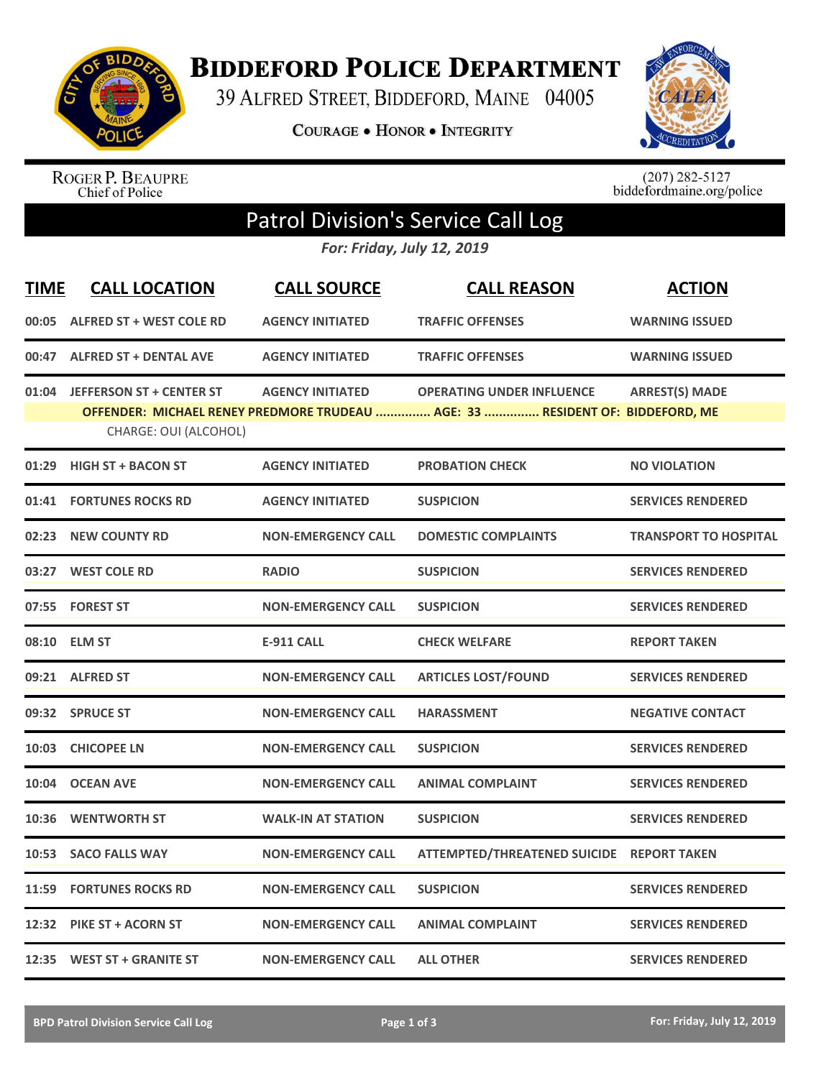

**BIDDEFORD POLICE DEPARTMENT** 

39 ALFRED STREET, BIDDEFORD, MAINE 04005

**COURAGE . HONOR . INTEGRITY** 



ROGER P. BEAUPRE<br>Chief of Police

 $(207)$  282-5127<br>biddefordmaine.org/police

## Patrol Division's Service Call Log

*For: Friday, July 12, 2019*

| <b>TIME</b> | <b>CALL LOCATION</b>                                     | <b>CALL SOURCE</b>        | <b>CALL REASON</b>                                                                                                | <b>ACTION</b>                |
|-------------|----------------------------------------------------------|---------------------------|-------------------------------------------------------------------------------------------------------------------|------------------------------|
| 00:05       | <b>ALFRED ST + WEST COLE RD</b>                          | <b>AGENCY INITIATED</b>   | <b>TRAFFIC OFFENSES</b>                                                                                           | <b>WARNING ISSUED</b>        |
|             | 00:47 ALFRED ST + DENTAL AVE                             | <b>AGENCY INITIATED</b>   | <b>TRAFFIC OFFENSES</b>                                                                                           | <b>WARNING ISSUED</b>        |
| 01:04       | <b>JEFFERSON ST + CENTER ST</b><br>CHARGE: OUI (ALCOHOL) | <b>AGENCY INITIATED</b>   | <b>OPERATING UNDER INFLUENCE</b><br>OFFENDER: MICHAEL RENEY PREDMORE TRUDEAU  AGE: 33  RESIDENT OF: BIDDEFORD, ME | <b>ARREST(S) MADE</b>        |
| 01:29       | <b>HIGH ST + BACON ST</b>                                | <b>AGENCY INITIATED</b>   | <b>PROBATION CHECK</b>                                                                                            | <b>NO VIOLATION</b>          |
| 01:41       | <b>FORTUNES ROCKS RD</b>                                 | <b>AGENCY INITIATED</b>   | <b>SUSPICION</b>                                                                                                  | <b>SERVICES RENDERED</b>     |
| 02:23       | <b>NEW COUNTY RD</b>                                     | <b>NON-EMERGENCY CALL</b> | <b>DOMESTIC COMPLAINTS</b>                                                                                        | <b>TRANSPORT TO HOSPITAL</b> |
| 03:27       | <b>WEST COLE RD</b>                                      | <b>RADIO</b>              | <b>SUSPICION</b>                                                                                                  | <b>SERVICES RENDERED</b>     |
| 07:55       | <b>FOREST ST</b>                                         | <b>NON-EMERGENCY CALL</b> | <b>SUSPICION</b>                                                                                                  | <b>SERVICES RENDERED</b>     |
| 08:10       | <b>ELM ST</b>                                            | <b>E-911 CALL</b>         | <b>CHECK WELFARE</b>                                                                                              | <b>REPORT TAKEN</b>          |
| 09:21       | <b>ALFRED ST</b>                                         | <b>NON-EMERGENCY CALL</b> | <b>ARTICLES LOST/FOUND</b>                                                                                        | <b>SERVICES RENDERED</b>     |
|             | 09:32 SPRUCE ST                                          | <b>NON-EMERGENCY CALL</b> | <b>HARASSMENT</b>                                                                                                 | <b>NEGATIVE CONTACT</b>      |
| 10:03       | <b>CHICOPEE LN</b>                                       | <b>NON-EMERGENCY CALL</b> | <b>SUSPICION</b>                                                                                                  | <b>SERVICES RENDERED</b>     |
| 10:04       | <b>OCEAN AVE</b>                                         | <b>NON-EMERGENCY CALL</b> | <b>ANIMAL COMPLAINT</b>                                                                                           | <b>SERVICES RENDERED</b>     |
| 10:36       | <b>WENTWORTH ST</b>                                      | <b>WALK-IN AT STATION</b> | <b>SUSPICION</b>                                                                                                  | <b>SERVICES RENDERED</b>     |
| 10:53       | <b>SACO FALLS WAY</b>                                    | <b>NON-EMERGENCY CALL</b> | ATTEMPTED/THREATENED SUICIDE REPORT TAKEN                                                                         |                              |
| 11:59       | <b>FORTUNES ROCKS RD</b>                                 | <b>NON-EMERGENCY CALL</b> | <b>SUSPICION</b>                                                                                                  | <b>SERVICES RENDERED</b>     |
|             | 12:32 PIKE ST + ACORN ST                                 | <b>NON-EMERGENCY CALL</b> | <b>ANIMAL COMPLAINT</b>                                                                                           | <b>SERVICES RENDERED</b>     |
|             | 12:35 WEST ST + GRANITE ST                               | <b>NON-EMERGENCY CALL</b> | <b>ALL OTHER</b>                                                                                                  | <b>SERVICES RENDERED</b>     |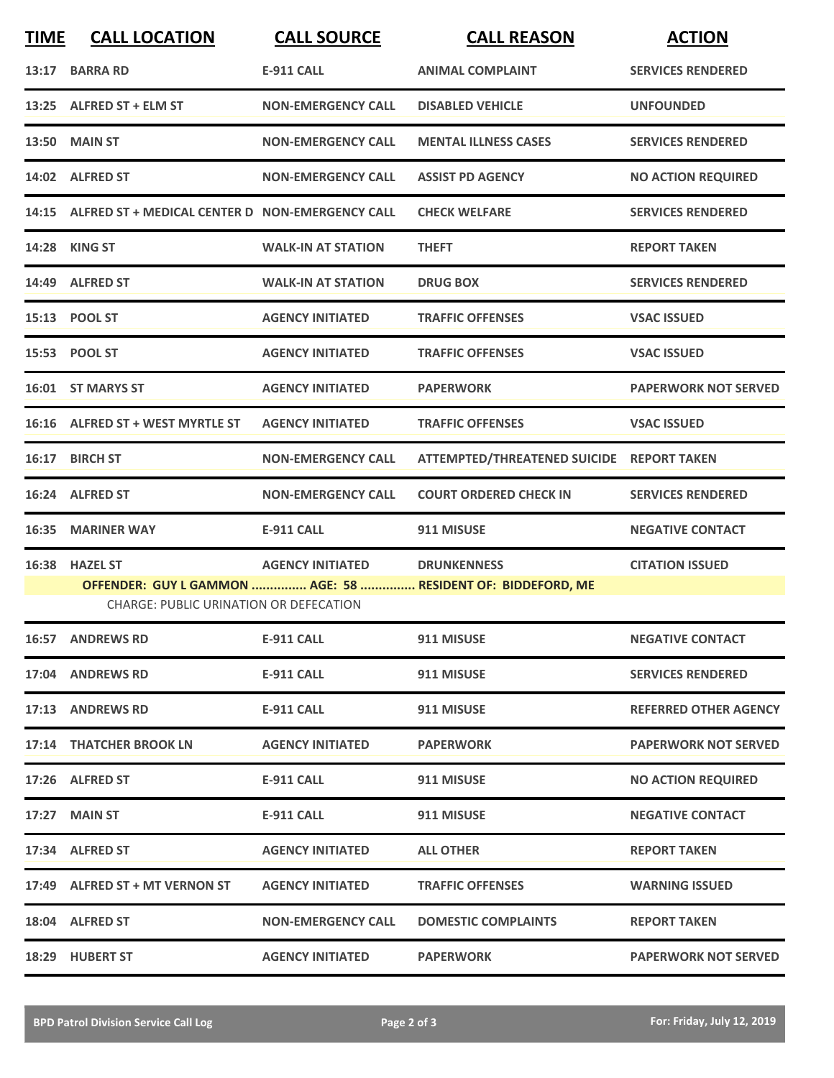| <b>TIME</b>                                                                                                  | <b>CALL LOCATION</b>                                  | <b>CALL SOURCE</b>        | <b>CALL REASON</b>                        | <b>ACTION</b>                |
|--------------------------------------------------------------------------------------------------------------|-------------------------------------------------------|---------------------------|-------------------------------------------|------------------------------|
| 13:17                                                                                                        | <b>BARRA RD</b>                                       | <b>E-911 CALL</b>         | <b>ANIMAL COMPLAINT</b>                   | <b>SERVICES RENDERED</b>     |
|                                                                                                              | 13:25 ALFRED ST + ELM ST                              | <b>NON-EMERGENCY CALL</b> | <b>DISABLED VEHICLE</b>                   | <b>UNFOUNDED</b>             |
|                                                                                                              | <b>13:50 MAIN ST</b>                                  | <b>NON-EMERGENCY CALL</b> | <b>MENTAL ILLNESS CASES</b>               | <b>SERVICES RENDERED</b>     |
|                                                                                                              | 14:02 ALFRED ST                                       | <b>NON-EMERGENCY CALL</b> | <b>ASSIST PD AGENCY</b>                   | <b>NO ACTION REQUIRED</b>    |
|                                                                                                              | 14:15 ALFRED ST + MEDICAL CENTER D NON-EMERGENCY CALL |                           | <b>CHECK WELFARE</b>                      | <b>SERVICES RENDERED</b>     |
|                                                                                                              | 14:28 KING ST                                         | <b>WALK-IN AT STATION</b> | <b>THEFT</b>                              | <b>REPORT TAKEN</b>          |
|                                                                                                              | 14:49 ALFRED ST                                       | <b>WALK-IN AT STATION</b> | <b>DRUG BOX</b>                           | <b>SERVICES RENDERED</b>     |
|                                                                                                              | 15:13 POOL ST                                         | <b>AGENCY INITIATED</b>   | <b>TRAFFIC OFFENSES</b>                   | <b>VSAC ISSUED</b>           |
|                                                                                                              | 15:53 POOL ST                                         | <b>AGENCY INITIATED</b>   | <b>TRAFFIC OFFENSES</b>                   | <b>VSAC ISSUED</b>           |
|                                                                                                              | 16:01 ST MARYS ST                                     | <b>AGENCY INITIATED</b>   | <b>PAPERWORK</b>                          | <b>PAPERWORK NOT SERVED</b>  |
|                                                                                                              | 16:16 ALFRED ST + WEST MYRTLE ST                      | <b>AGENCY INITIATED</b>   | <b>TRAFFIC OFFENSES</b>                   | <b>VSAC ISSUED</b>           |
| 16:17                                                                                                        | <b>BIRCH ST</b>                                       | <b>NON-EMERGENCY CALL</b> | ATTEMPTED/THREATENED SUICIDE REPORT TAKEN |                              |
|                                                                                                              | 16:24 ALFRED ST                                       | <b>NON-EMERGENCY CALL</b> | <b>COURT ORDERED CHECK IN</b>             | <b>SERVICES RENDERED</b>     |
| 16:35                                                                                                        | <b>MARINER WAY</b>                                    | <b>E-911 CALL</b>         | 911 MISUSE                                | <b>NEGATIVE CONTACT</b>      |
| 16:38                                                                                                        | <b>HAZEL ST</b>                                       | <b>AGENCY INITIATED</b>   | <b>DRUNKENNESS</b>                        | <b>CITATION ISSUED</b>       |
| OFFENDER: GUY L GAMMON  AGE: 58  RESIDENT OF: BIDDEFORD, ME<br><b>CHARGE: PUBLIC URINATION OR DEFECATION</b> |                                                       |                           |                                           |                              |
|                                                                                                              | <b>16:57 ANDREWS RD</b>                               | <b>E-911 CALL</b>         | 911 MISUSE                                | <b>NEGATIVE CONTACT</b>      |
|                                                                                                              | 17:04 ANDREWS RD                                      | <b>E-911 CALL</b>         | 911 MISUSE                                | <b>SERVICES RENDERED</b>     |
|                                                                                                              | 17:13 ANDREWS RD                                      | E-911 CALL                | 911 MISUSE                                | <b>REFERRED OTHER AGENCY</b> |
|                                                                                                              | 17:14 THATCHER BROOK LN                               | <b>AGENCY INITIATED</b>   | <b>PAPERWORK</b>                          | <b>PAPERWORK NOT SERVED</b>  |
|                                                                                                              | 17:26 ALFRED ST                                       | E-911 CALL                | 911 MISUSE                                | <b>NO ACTION REQUIRED</b>    |
|                                                                                                              | 17:27 MAIN ST                                         | E-911 CALL                | 911 MISUSE                                | <b>NEGATIVE CONTACT</b>      |
|                                                                                                              | 17:34 ALFRED ST                                       | <b>AGENCY INITIATED</b>   | <b>ALL OTHER</b>                          | <b>REPORT TAKEN</b>          |
|                                                                                                              | 17:49 ALFRED ST + MT VERNON ST                        | <b>AGENCY INITIATED</b>   | <b>TRAFFIC OFFENSES</b>                   | <b>WARNING ISSUED</b>        |
|                                                                                                              | 18:04 ALFRED ST                                       | <b>NON-EMERGENCY CALL</b> | <b>DOMESTIC COMPLAINTS</b>                | <b>REPORT TAKEN</b>          |
|                                                                                                              | 18:29 HUBERT ST                                       | <b>AGENCY INITIATED</b>   | <b>PAPERWORK</b>                          | <b>PAPERWORK NOT SERVED</b>  |